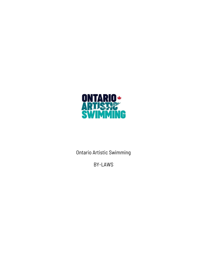

Ontario Artistic Swimming

BY-LAWS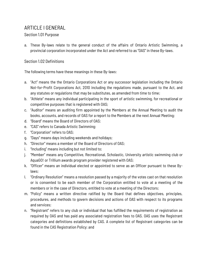# ARTICLE I GENERAL

# Section 1.01 Purpose

a. These By-laws relate to the general conduct of the affairs of Ontario Artistic Swimming, a provincial corporation incorporated under the Act and referred to as "OAS" in these By-laws.

# Section 1.02 Definitions

The following terms have these meanings in these By-laws:

- a. "Act" means the the Ontario Corporations Act or any successor legislation including the Ontario Not-for-Profit Corporations Act, 2010 including the regulations made, pursuant to the Act, and any statutes or regulations that may be substitutes, as amended from time to time;
- b. "Athlete" means any individual participating in the sport of artistic swimming, for recreational or competitive purposes that is registered with OAS;
- c. "Auditor" means an auditing firm appointed by the Members at the Annual Meeting to audit the books, accounts, and records of OAS for a report to the Members at the next Annual Meeting;
- d. "Board" means the Board of Directors of OAS;
- e. "CAS" refers to Canada Artistic Swimming;
- f. "Corporation" refers to OAS;
- g. "Days" means days including weekends and holidays;
- h. "Director" means a member of the Board of Directors of OAS;
- i. "Including" means including but not limited to;
- j. "Member" means any Competitive, Recreational, Scholastic, University artistic swimming club or AquaGO! or Trillium awards program provider registered with OAS;
- k. "Officer" means an individual elected or appointed to serve as an Officer pursuant to these Bylaws;
- l. "Ordinary Resolution" means a resolution passed by a majority of the votes cast on that resolution or is consented to be each member of the Corporation entitled to vote at a meeting of the members or in the case of Directors, entitled to vote at a meeting of the Directors;
- m. "Policy" means a written directive ratified by the Board that defines objectives, principles, procedures, and methods to govern decisions and actions of OAS with respect to its programs and services;
- n. "Registrant" refers to any club or individual that has fulfilled the requirements of registration as required by OAS and has paid any associated registration fees to OAS. OAS uses the Registrant categories and definitions established by CAS. A complete list of Registrant categories can be found in the CAS Registration Policy; and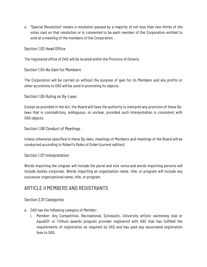o. "Special Resolution" means a resolution passed by a majority of not less than two-thirds of the votes cast on that resolution or is consented to be each member of the Corporation entitled to vote at a meeting of the members of the Corporation.

## Section 1.03 Head Office

The registered office of OAS will be located within the Province of Ontario.

# Section 1.04 No Gain for Members

The Corporation will be carried on without the purpose of gain for its Members and any profits or other accretions to OAS will be used in promoting its objects.

## Section 1.05 Ruling on By-Laws

Except as provided in the Act, the Board will have the authority to interpret any provision of these Bylaws that is contradictory, ambiguous, or unclear, provided such interpretation is consistent with OAS objects.

## Section 1.06 Conduct of Meetings

Unless otherwise specified in these By-laws, meetings of Members and meetings of the Board will be conducted according to Robert's Rules of Order (current edition).

## Section 1.07 Interpretation

Words importing the singular will include the plural and vice versa and words importing persons will include bodies corporate. Words importing an organization name, title, or program will include any successor organizational name, title, or program.

# ARTICLE II MEMBERS AND REGISTRANTS

## Section 2.01 Categories

- a. OAS has the following category of Member:
	- i. Member: Any Competitive, Recreational, Scholastic, University artistic swimming club or AquaGO! or Trillium awards program provider registered with OAS that has fulfilled the requirements of registration as required by OAS and has paid any associated registration fees to OAS.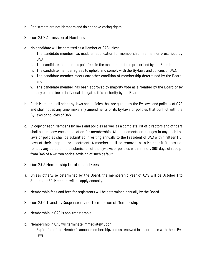b. Registrants are not Members and do not have voting rights.

#### Section 2.02 Admission of Members

- a. No candidate will be admitted as a Member of OAS unless:
	- i. The candidate member has made an application for membership in a manner prescribed by OAS;
	- ii. The candidate member has paid fees in the manner and time prescribed by the Board;
	- iii. The candidate member agrees to uphold and comply with the By-laws and policies of OAS;
	- iv. The candidate member meets any other condition of membership determined by the Board; and
	- v. The candidate member has been approved by majority vote as a Member by the Board or by any committee or individual delegated this authority by the Board.
- b. Each Member shall adopt by-laws and policies that are guided by the By-laws and policies of OAS and shall not at any time make any amendments of its by-laws or policies that conflict with the By-laws or policies of OAS.
- c. A copy of each Member's by-laws and policies as well as a complete list of directors and officers shall accompany each application for membership. All amendments or changes in any such bylaws or policies shall be submitted in writing annually to the President of OAS within fifteen (15) days of their adoption or enactment. A member shall be removed as a Member if it does not remedy any default in the submission of the by-laws or policies within ninety (90) days of receipt from OAS of a written notice advising of such default.

## Section 2.03 Membership Duration and Fees

- a. Unless otherwise determined by the Board, the membership year of OAS will be October 1 to September 30. Members will re-apply annually.
- b. Membership fees and fees for registrants will be determined annually by the Board.

## Section 2.04 Transfer, Suspension, and Termination of Membership

- a. Membership in OAS is non-transferable.
- b. Membership in OAS will terminate immediately upon:
	- i. Expiration of the Member's annual membership, unless renewed in accordance with these Bylaws;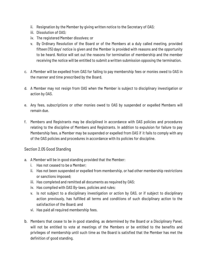- ii. Resignation by the Member by giving written notice to the Secretary of OAS;
- iii. Dissolution of OAS;
- iv. The registered Member dissolves; or
- v. By Ordinary Resolution of the Board or of the Members at a duly called meeting, provided fifteen (15) days' notice is given and the Member is provided with reasons and the opportunity to be heard. Notice will set out the reasons for termination of membership and the member receiving the notice will be entitled to submit a written submission opposing the termination.
- c. A Member will be expelled from OAS for failing to pay membership fees or monies owed to OAS in the manner and time prescribed by the Board.
- d. A Member may not resign from OAS when the Member is subject to disciplinary investigation or action by OAS.
- e. Any fees, subscriptions or other monies owed to OAS by suspended or expelled Members will remain due.
- f. Members and Registrants may be disciplined in accordance with OAS policies and procedures relating to the discipline of Members and Registrants. In addition to expulsion for failure to pay Membership fees, a Member may be suspended or expelled from OAS if it fails to comply with any of the OAS policies and procedures in accordance with its policies for discipline.

## Section 2.05 Good Standing

- a. A Member will be in good standing provided that the Member:
	- i. Has not ceased to be a Member;
	- ii. Has not been suspended or expelled from membership, or had other membership restrictions or sanctions imposed;
	- iii. Has completed and remitted all documents as required by OAS;
	- iv. Has complied with OAS By-laws, policies and rules;
	- v. Is not subject to a disciplinary investigation or action by OAS, or if subject to disciplinary action previously, has fulfilled all terms and conditions of such disciplinary action to the satisfaction of the Board; and
	- vi. Has paid all required membership fees.
- b. Members that cease to be in good standing, as determined by the Board or a Disciplinary Panel, will not be entitled to vote at meetings of the Members or be entitled to the benefits and privileges of membership until such time as the Board is satisfied that the Member has met the definition of good standing.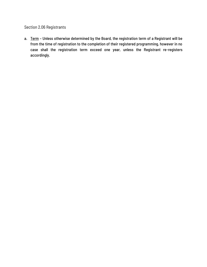Section 2.06 Registrants

a. Term - Unless otherwise determined by the Board, the registration term of a Registrant will be from the time of registration to the completion of their registered programming, however in no case shall the registration term exceed one year, unless the Registrant re-registers accordingly.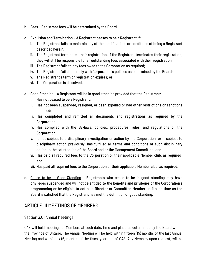- b. Fees Registrant fees will be determined by the Board.
- c. Expulsion and Termination A Registrant ceases to be a Registrant if:
	- i. The Registrant fails to maintain any of the qualifications or conditions of being a Registrant described herein;
	- ii. The Registrant terminates their registration. If the Registrant terminates their registration, they will still be responsible for all outstanding fees associated with their registration;
	- iii. The Registrant fails to pay fees owed to the Corporation as required;
	- iv. The Registrant fails to comply with Corporation's policies as determined by the Board;
	- v. The Registrant's term of registration expires; or
	- vi. The Corporation is dissolved.
- d. Good Standing A Registrant will be in good standing provided that the Registrant:
	- i. Has not ceased to be a Registrant;
	- ii. Has not been suspended, resigned, or been expelled or had other restrictions or sanctions imposed;
	- iii. Has completed and remitted all documents and registrations as required by the Corporation;
	- iv. Has complied with the By-laws, policies, procedures, rules, and regulations of the Corporation;
	- v. Is not subject to a disciplinary investigation or action by the Corporation, or if subject to disciplinary action previously, has fulfilled all terms and conditions of such disciplinary action to the satisfaction of the Board and or the Management Committee; and
	- vi. Has paid all required fees to the Corporation or their applicable Member club, as required; and
	- vii. Has paid all required fees to the Corporation or their applicable Member club, as required.
- e. Cease to be in Good Standing Registrants who cease to be in good standing may have privileges suspended and will not be entitled to the benefits and privileges of the Corporation's programming or be eligible to act as a Director or Committee Member until such time as the Board is satisfied that the Registrant has met the definition of good standing.

# ARTICLE III MEETINGS OF MEMBERS

## Section 3.01 Annual Meetings

OAS will hold meetings of Members at such date, time and place as determined by the Board within the Province of Ontario. The Annual Meeting will be held within fifteen (15) months of the last Annual Meeting and within six (6) months of the fiscal year end of OAS. Any Member, upon request, will be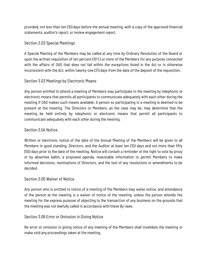provided, not less than ten (10) days before the annual meeting, with a copy of the approved financial statements, auditor's report, or review engagement report.

## Section 3.02 Special Meetings

A Special Meeting of the Members may be called at any time by Ordinary Resolution of the Board or upon the written requisition of ten percent (10%) or more of the Members for any purpose connected with the affairs of OAS that does not fall within the exceptions listed in the Act or is otherwise inconsistent with the Act, within twenty-one (21) days from the date of the deposit of the requisition.

# Section 3.03 Meetings by Electronic Means

Any person entitled to attend a meeting of Members may participate in the meeting by telephonic or electronic means that permits all participants to communicate adequately with each other during the meeting if OAS makes such means available. A person so participating in a meeting is deemed to be present at the meeting. The Directors or Members, as the case may be, may determine that the meeting be held entirely by telephonic or electronic means that permit all participants to communicate adequately with each other during the meeting.

# Section 3.04 Notice

Written or electronic notice of the date of the Annual Meeting of the Members will be given to all Members in good standing, Directors, and the Auditor at least ten (10) days and not more than fifty (50) days prior to the date of the meeting. Notice will contain a reminder of the right to vote by proxy or by absentee ballot, a proposed agenda, reasonable information to permit Members to make informed decisions, nominations of Directors, and the text of any resolutions or amendments to be decided.

## Section 3.05 Waiver of Notice

Any person who is entitled to notice of a meeting of the Members may waive notice, and attendance of the person at the meeting is a waiver of notice of the meeting, unless the person attends the meeting for the express purpose of objecting to the transaction of any business on the grounds that the meeting was not lawfully called in accordance with these By-laws.

# Section 3.06 Error or Omission in Giving Notice

No error or omission in giving notice of any meeting of the Members shall invalidate the meeting or make void any proceedings taken at the meeting.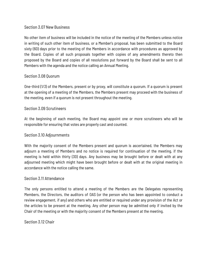## Section 3.07 New Business

No other item of business will be included in the notice of the meeting of the Members unless notice in writing of such other item of business, or a Member's proposal, has been submitted to the Board sixty (60) days prior to the meeting of the Members in accordance with procedures as approved by the Board. Copies of all such proposals together with copies of any amendments thereto then proposed by the Board and copies of all resolutions put forward by the Board shall be sent to all Members with the agenda and the notice calling an Annual Meeting.

#### Section 3.08 Quorum

One-third (1/3) of the Members, present or by proxy, will constitute a quorum. If a quorum is present at the opening of a meeting of the Members, the Members present may proceed with the business of the meeting, even if a quorum is not present throughout the meeting.

#### Section 3.09 Scrutineers

At the beginning of each meeting, the Board may appoint one or more scrutineers who will be responsible for ensuring that votes are properly cast and counted.

#### Section 3.10 Adjournments

With the majority consent of the Members present and quorum is ascertained, the Members may adjourn a meeting of Members and no notice is required for continuation of the meeting, if the meeting is held within thirty (30) days. Any business may be brought before or dealt with at any adjourned meeting which might have been brought before or dealt with at the original meeting in accordance with the notice calling the same.

#### Section 3.11 Attendance

The only persons entitled to attend a meeting of the Members are the Delegates representing Members, the Directors, the auditors of OAS (or the person who has been appointed to conduct a review engagement, if any) and others who are entitled or required under any provision of the Act or the articles to be present at the meeting. Any other person may be admitted only if invited by the Chair of the meeting or with the majority consent of the Members present at the meeting.

#### Section 3.12 Chair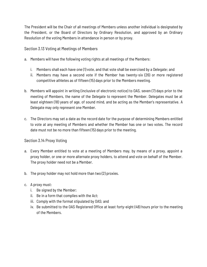The President will be the Chair of all meetings of Members unless another individual is designated by the President, or the Board of Directors by Ordinary Resolution, and approved by an Ordinary Resolution of the voting Members in attendance in person or by proxy.

Section 3.13 Voting at Meetings of Members

- a. Members will have the following voting rights at all meetings of the Members:
	- i. Members shall each have one (1) vote, and that vote shall be exercised by a Delegate; and
	- ii. Members may have a second vote if the Member has twenty-six (26) or more registered competitive athletes as of fifteen (15) days prior to the Members meeting.
- b. Members will appoint in writing (inclusive of electronic notice) to OAS, seven (7) days prior to the meeting of Members, the name of the Delegate to represent the Member. Delegates must be at least eighteen (18) years of age, of sound mind, and be acting as the Member's representative. A Delegate may only represent one Member.
- c. The Directors may set a date as the record date for the purpose of determining Members entitled to vote at any meeting of Members and whether the Member has one or two votes. The record date must not be no more than fifteen (15) days prior to the meeting.

# Section 3.14 Proxy Voting

- a. Every Member entitled to vote at a meeting of Members may, by means of a proxy, appoint a proxy holder, or one or more alternate proxy holders, to attend and vote on behalf of the Member. The proxy holder need not be a Member.
- b. The proxy holder may not hold more than two (2) proxies.
- c. A proxy must:
	- i. Be signed by the Member;
	- ii. Be in a form that complies with the Act;
	- iii. Comply with the format stipulated by OAS; and
	- iv. Be submitted to the OAS Registered Office at least forty-eight (48) hours prior to the meeting of the Members.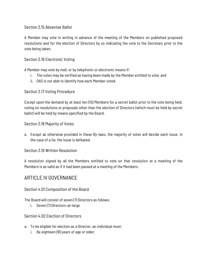Section 3.15 Absentee Ballot

A Member may vote in writing in advance of the meeting of the Members on published proposed resolutions and for the election of Directors by so indicating the vote to the Secretary prior to the vote being taken.

Section 3.16 Electronic Voting

A Member may vote by mail, or by telephonic or electronic means if:

- i. The votes may be verified as having been made by the Member entitled to vote; and
- ii. OAS is not able to identify how each Member voted.

# Section 3.17 Voting Procedure

Except upon the demand by at least ten (10) Members for a secret ballot prior to the vote being held, voting on resolutions or proposals other than the election of Directors (which must be held by secret ballot) will be held by means specified by the Board.

Section 3.18 Majority of Votes

a. Except as otherwise provided in these By-laws, the majority of votes will decide each issue. In the case of a tie, the issue is defeated.

Section 3.19 Written Resolution

A resolution signed by all the Members entitled to vote on that resolution at a meeting of the Members is as valid as if it had been passed at a meeting of the Members.

# ARTICLE IV GOVERNANCE

Section 4.01 Composition of the Board

The Board will consist of seven (7) Directors as follows:

i. Seven (7) Directors-at-large

Section 4.02 Election of Directors

- a. To be eligible for election as a Director, an individual must:
	- i. Be eighteen (18) years of age or older;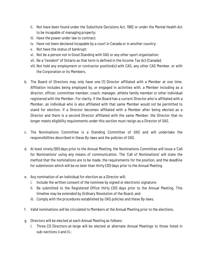- ii. Not have been found under the Substitute Decisions Act, 1992 or under the Mental Health Act to be incapable of managing property;
- iii. Have the power under law to contract;
- iv. Have not been declared incapable by a court in Canada or in another country;
- v. Not have the status of bankrupt;
- vi. Not be a person not in Good Standing with OAS or any other sport organization;
- vii. Be a "resident" of Ontario as that term is defined in the Income Tax Act (Canada);
- viii.Not hold any employment or contractor position(s) with CAS, any other CAS Member, or with the Corporation or its Members.
- b. The Board of Directors may only have one (1) Director affiliated with a Member at one time. Affiliation includes being employed by, or engaged in activities with, a Member including as a director, officer, committee member, coach, manager, athlete family member or other individual registered with the Member. For clarity, if the Board has a current Director who is affiliated with a Member, an individual who is also affiliated with that same Member would not be permitted to stand for election. If a Director becomes affiliated with a Member after being elected as a Director and there is a second Director affiliated with the same Member, the Director that no longer meets eligibility requirements under this section must resign as a Director of OAS.
- c. The Nominations Committee is a Standing Committee of OAS and will undertake the responsibilities described in these By-laws and the policies of OAS.
- d. At least ninety (90) days prior to the Annual Meeting, the Nominations Committee will issue a 'Call for Nominations' using any means of communication. The 'Call of Nominations' will state the method that the nominations are to be made, the requirements for the position, and the deadline for submission which will be no later than thirty (30) days prior to the Annual Meeting.
- e. Any nomination of an individual for election as a Director will:
	- i. Include the written consent of the nominee by signed or electronic signature;
	- ii. Be submitted to the Registered Office thirty (30) days prior to the Annual Meeting. This timeline may be extended by Ordinary Resolution of the Board; and
	- iii. Comply with the procedures established by OAS policies and these By-laws.
- f. Valid nominations will be circulated to Members at the Annual Meeting prior to the elections.
- g. Directors will be elected at each Annual Meeting as follows:
	- i. Three (3) Directors-at-large will be elected at alternate Annual Meetings to those listed in sub-sections ii and iii.;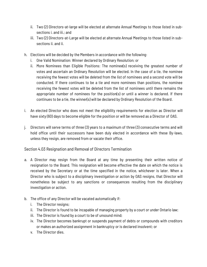- ii. Two (2) Directors-at-large will be elected at alternate Annual Meetings to those listed in subsections i. and iii.; and
- iii. Two (2) Directors-at-Large will be elected at alternate Annual Meetings to those listed in subsections ii. and ii.
- h. Elections will be decided by the Members in accordance with the following:
	- i. One Valid Nomination: Winner declared by Ordinary Resolution; or
	- ii. More Nominees than Eligible Positions: The nominee(s) receiving the greatest number of votes and ascertain an Ordinary Resolution will be elected. In the case of a tie, the nominee receiving the fewest votes will be deleted from the list of nominees and a second vote will be conducted. If there continues to be a tie and more nominees than positions, the nominee receiving the fewest votes will be deleted from the list of nominees until there remains the appropriate number of nominees for the position(s) or until a winner is declared. If there continues to be a tie, the winner(s) will be declared by Ordinary Resolution of the Board.
- i. An elected Director who does not meet the eligibility requirements for election as Director will have sixty (60) days to become eligible for the position or will be removed as a Director of OAS.
- j. Directors will serve terms of three (3) years to a maximum of three (3) consecutive terms and will hold office until their successors have been duly elected in accordance with these By-laws, unless they resign, are removed from or vacate their office.

Section 4.03 Resignation and Removal of Directors Termination

- a. A Director may resign from the Board at any time by presenting their written notice of resignation to the Board. This resignation will become effective the date on which the notice is received by the Secretary or at the time specified in the notice, whichever is later. When a Director who is subject to a disciplinary investigation or action by OAS resigns, that Director will nonetheless be subject to any sanctions or consequences resulting from the disciplinary investigation or action.
- b. The office of any Director will be vacated automatically if:
	- i. The Director resigns;
	- ii. The Director is found to be incapable of managing property by a court or under Ontario law;
	- iii. The Director is found by a court to be of unsound mind;
	- iv. The Director becomes bankrupt or suspends payment of debts or compounds with creditors or makes an authorized assignment in bankruptcy or is declared insolvent; or
	- v. The Director dies.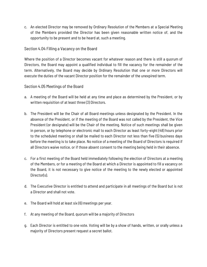c. An elected Director may be removed by Ordinary Resolution of the Members at a Special Meeting of the Members provided the Director has been given reasonable written notice of, and the opportunity to be present and to be heard at, such a meeting.

## Section 4.04 Filling a Vacancy on the Board

Where the position of a Director becomes vacant for whatever reason and there is still a quorum of Directors, the Board may appoint a qualified individual to fill the vacancy for the remainder of the term. Alternatively, the Board may decide by Ordinary Resolution that one or more Directors will execute the duties of the vacant Director position for the remainder of the unexpired term.

#### Section 4.05 Meetings of the Board

- a. A meeting of the Board will be held at any time and place as determined by the President, or by written requisition of at least three (3) Directors.
- b. The President will be the Chair of all Board meetings unless designated by the President. In the absence of the President, or if the meeting of the Board was not called by the President, the Vice President (or designate) will be the Chair of the meeting. Notice of such meetings shall be given in person, or by telephone or electronic mail to each Director as least forty-eight (48) hours prior to the scheduled meeting or shall be mailed to each Director not less than five (5) business days before the meeting is to take place. No notice of a meeting of the Board of Directors is required if all Directors waive notice, or if those absent consent to the meeting being held in their absence.
- c. For a first meeting of the Board held immediately following the election of Directors at a meeting of the Members, or for a meeting of the Board at which a Director is appointed to fill a vacancy on the Board, it is not necessary to give notice of the meeting to the newly elected or appointed Director(s).
- d. The Executive Director is entitled to attend and participate in all meetings of the Board but is not a Director and shall not vote.
- e. The Board will hold at least six (6) meetings per year.
- f. At any meeting of the Board, quorum will be a majority of Directors
- g. Each Director is entitled to one vote. Voting will be by a show of hands, written, or orally unless a majority of Directors present request a secret ballot.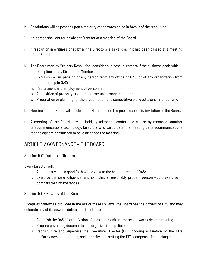- h. Resolutions will be passed upon a majority of the votes being in favour of the resolution.
- i. No person shall act for an absent Director at a meeting of the Board.
- j. A resolution in writing signed by all the Directors is as valid as if it had been passed at a meeting of the Board.
- k. The Board may, by Ordinary Resolution, consider business in-camera if the business deals with:
	- i. Discipline of any Director or Member;
	- ii. Expulsion or suspension of any person from any office of OAS, or of any organization from membership in OAS;
	- iii. Recruitment and employment of personnel;
	- iv. Acquisition of property or other contractual arrangements; or
	- v. Preparation or planning for the presentation of a competitive bid, quote, or similar activity.
- l. Meetings of the Board will be closed to Members and the public except by invitation of the Board.
- m. A meeting of the Board may be held by telephone conference call or by means of another telecommunications technology. Directors who participate in a meeting by telecommunications technology are considered to have attended the meeting.

# ARTICLE V GOVERNANCE – THE BOARD

## Section 5.01 Duties of Directors

Every Director will:

- i. Act honestly and in good faith with a view to the best interests of OAS; and
- ii. Exercise the care, diligence, and skill that a reasonably prudent person would exercise in comparable circumstances.

Section 5.02 Powers of the Board

Except as otherwise provided in the Act or these By-laws, the Board has the powers of OAS and may delegate any of its powers, duties, and functions:

- i. Establish the OAS Mission, Vision, Values and monitor progress towards desired results;
- ii. Prepare governing documents and organizational policies;
- iii. Recruit, hire and supervise the Executive Director (ED), ongoing evaluation of the ED's performance, competence, and integrity, and setting the ED's compensation package;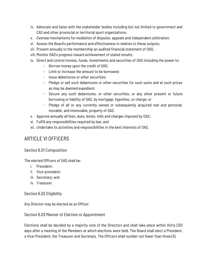- iv. Advocate and liaise with the stakeholder bodies including but not limited to government and CAS and other provincial or territorial sport organizations;
- v. Oversee mechanisms for mediation of disputes, appeals and independent arbitration;
- vi. Assess the Board's performance and effectiveness in relation to these outputs;
- vii. Present annually to the membership an audited financial statement of OAS;
- viii.Monitor OAS's progress toward achievement of stated results;
- ix. Direct and control monies, funds, investments and securities of OAS including the power to:
	- Borrow money upon the credit of OAS;
	- Limit or increase the amount to be borrowed;
	- Issue debentures or other securities;
	- Pledge or sell such debentures or other securities for such sums and at such prices as may be deemed expedient;
	- Secure any such debentures, or other securities, or any other present or future borrowing or liability of OAS, by mortgage, hypothec, or charge; or
	- Pledge of all or any currently owned or subsequently acquired real and personal, movable, and immovable, property of OAS.
- x. Approve annually all fees, dues, levies, tolls and charges imposed by OAS;
- xi. Fulfill any responsibilities required by law; and
- xii. Undertake its activities and responsibilities in the best interests of OAS.

# ARTICLE VI OFFICERS

## Section 6.01 Composition

The elected Officers of OAS shall be:

- i. President;
- ii. Vice-president;
- iii. Secretary; and
- iv. Treasurer.

## Section 6.02 Eligibility

Any Director may be elected as an Officer.

## Section 6.03 Manner of Election or Appointment

Elections shall be decided by a majority vote of the Directors and shall take place within thirty (30) days after a meeting of the Members at which elections were held. The Board shall elect a President, a Vice-President, the Treasurer and Secretary. The Officers shall number not fewer than three (3).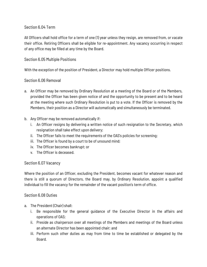# Section 6.04 Term

All Officers shall hold office for a term of one (1) year unless they resign, are removed from, or vacate their office. Retiring Officers shall be eligible for re-appointment. Any vacancy occurring in respect of any office may be filled at any time by the Board.

## Section 6.05 Multiple Positions

With the exception of the position of President, a Director may hold multiple Officer positions.

## Section 6.06 Removal

- a. An Officer may be removed by Ordinary Resolution at a meeting of the Board or of the Members, provided the Officer has been given notice of and the opportunity to be present and to be heard at the meeting where such Ordinary Resolution is put to a vote. If the Officer is removed by the Members, their position as a Director will automatically and simultaneously be terminated.
- b. Any Officer may be removed automatically if:
	- i. An Officer resigns by delivering a written notice of such resignation to the Secretary, which resignation shall take effect upon delivery;
	- ii. The Officer fails to meet the requirements of the OAS's policies for screening;
	- iii. The Officer is found by a court to be of unsound mind;
	- iv. The Officer becomes bankrupt; or
	- v. The Officer is deceased.

## Section 6.07 Vacancy

Where the position of an Officer, excluding the President, becomes vacant for whatever reason and there is still a quorum of Directors, the Board may, by Ordinary Resolution, appoint a qualified individual to fill the vacancy for the remainder of the vacant position's term of office.

## Section 6.08 Duties

- a. The President (Chair) shall:
	- i. Be responsible for the general guidance of the Executive Director in the affairs and operations of OAS;
	- ii. Preside as chairperson over all meetings of the Members and meetings of the Board unless an alternate Director has been appointed chair; and
	- iii. Perform such other duties as may from time to time be established or delegated by the Board.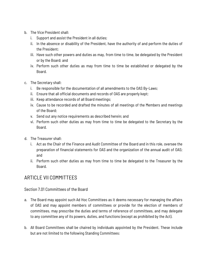- b. The Vice President shall:
	- i. Support and assist the President in all duties;
	- ii. In the absence or disability of the President, have the authority of and perform the duties of the President;
	- iii. Have such other powers and duties as may, from time to time, be delegated by the President or by the Board; and
	- iv. Perform such other duties as may from time to time be established or delegated by the Board.
- c. The Secretary shall:
	- i. Be responsible for the documentation of all amendments to the OAS By-Laws;
	- ii. Ensure that all official documents and records of OAS are properly kept;
	- iii. Keep attendance records of all Board meetings;
	- iv. Cause to be recorded and drafted the minutes of all meetings of the Members and meetings of the Board;
	- v. Send out any notice requirements as described herein; and
	- vi. Perform such other duties as may from time to time be delegated to the Secretary by the Board.
- d. The Treasurer shall:
	- i. Act as the Chair of the Finance and Audit Committee of the Board and in this role, oversee the preparation of financial statements for OAS and the organization of the annual audit of OAS; and
	- ii. Perform such other duties as may from time to time be delegated to the Treasurer by the Board.

# ARTICLE VII COMMITTEES

## Section 7.01 Committees of the Board

- a. The Board may appoint such Ad Hoc Committees as it deems necessary for managing the affairs of OAS and may appoint members of committees or provide for the election of members of committees, may prescribe the duties and terms of reference of committees, and may delegate to any committee any of its powers, duties, and functions (except as prohibited by the Act).
- b. All Board Committees shall be chaired by individuals appointed by the President. These include but are not limited to the following Standing Committees: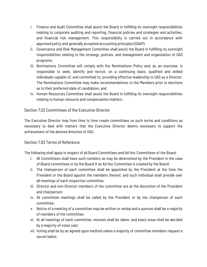- i. Finance and Audit Committee shall assist the Board in fulfilling its oversight responsibilities relating to corporate auditing and reporting, financial policies and strategies and activities, and financial risk management. This responsibility is carried out in accordance with approved policy and generally accepted accounting principles (GAAP);
- ii. Governance and Risk Management Committee shall assist the Board in fulfilling its oversight responsibilities relating to the strategy, policies, and management and organization of OAS programs;
- iii. Nominations Committee will comply with the Nominations Policy and, as an overview, is responsible to seek, identify and recruit, on a continuing basis, qualified and skilled individuals capable of, and committed to, providing effective leadership to OAS as a Director. The Nominations Committee may make recommendations to the Members prior to elections as to their preferred slate of candidates; and
- iv. Human Resources Committee shall assist the Board in fulfilling its oversight responsibilities relating to human resource and compensation matters.

# Section 7.02 Committees of the Executive Director

The Executive Director may from time to time create committees on such terms and conditions as necessary to deal with matters that the Executive Director deems necessary to support the achievement of the desired direction of OAS.

## Section 7.03 Terms of Reference

The following shall apply in respect of all Board Committees and Ad Hoc Committees of the Board:

- i. All Committees shall have such numbers as may be determined by the President in the case of Board committees or by the Board if an Ad Hoc Committee is created by the Board;
- ii. The chairperson of each committee shall be appointed by the President at the time the President or the Board appoint the members thereof, and such individual shall preside over all meetings of each respective committee;
- iii. Director and non-Director members of the committee are at the discretion of the President and chairperson;
- iv. All committee meetings shall be called by the President or by the chairperson of each committee;
- v. Notice of a meeting of a committee may be written or verbal and a quorum shall be a majority of members of the committee;
- vi. At all meetings of each committee, minutes shall be taken, and every issue shall be decided by a majority of votes cast;
- vii. Voting shall be by an agreed upon method unless a majority of committee members request a secret ballot;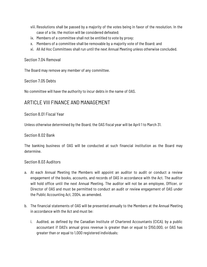- viii. Resolutions shall be passed by a majority of the votes being in favor of the resolution. In the case of a tie, the motion will be considered defeated;
- ix. Members of a committee shall not be entitled to vote by proxy;
- x. Members of a committee shall be removable by a majority vote of the Board; and
- xi. All Ad Hoc Committees shall run until the next Annual Meeting unless otherwise concluded.

#### Section 7.04 Removal

The Board may remove any member of any committee.

#### Section 7.05 Debts

No committee will have the authority to incur debts in the name of OAS.

# ARTICLE VIII FINANCE AND MANAGEMENT

## Section 8.01 Fiscal Year

Unless otherwise determined by the Board, the OAS fiscal year will be April 1 to March 31.

#### Section 8.02 Bank

The banking business of OAS will be conducted at such financial institution as the Board may determine.

#### Section 8.03 Auditors

- a. At each Annual Meeting the Members will appoint an auditor to audit or conduct a review engagement of the books, accounts, and records of OAS in accordance with the Act. The auditor will hold office until the next Annual Meeting. The auditor will not be an employee, Officer, or Director of OAS and must be permitted to conduct an audit or review engagement of OAS under the Public Accounting Act, 2004, as amended.
- b. The financial statements of OAS will be presented annually to the Members at the Annual Meeting in accordance with the Act and must be:
	- i. Audited, as defined by the Canadian Institute of Chartered Accountants (CICA), by a public accountant if OAS's annual gross revenue is greater than or equal to \$150,000, or OAS has greater than or equal to 1,000 registered individuals;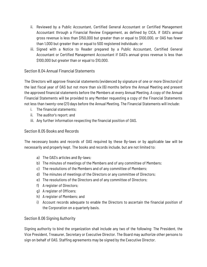- ii. Reviewed by a Public Accountant, Certified General Accountant or Certified Management Accountant through a Financial Review Engagement, as defined by CICA, if OAS's annual gross revenue is less than \$150,000 but greater than or equal to \$100,000, or OAS has fewer than 1,000 but greater than or equal to 500 registered individuals; or
- iii. Signed with a Notice to Reader prepared by a Public Accountant, Certified General Accountant or Certified Management Accountant if OAS's annual gross revenue is less than \$100,000 but greater than or equal to \$10,000.

# Section 8.04 Annual Financial Statements

The Directors will approve financial statements (evidenced by signature of one or more Directors) of the last fiscal year of OAS but not more than six (6) months before the Annual Meeting and present the approved financial statements before the Members at every Annual Meeting. A copy of the Annual Financial Statements will be provided to any Member requesting a copy of the Financial Statements not less than twenty-one (21) days before the Annual Meeting. The Financial Statements will include:

- i. The financial statements;
- ii. The auditor's report; and
- iii. Any further information respecting the financial position of OAS.

# Section 8.05 Books and Records

The necessary books and records of OAS required by these By-laws or by applicable law will be necessarily and properly kept. The books and records include, but are not limited to:

- a) The OAS's articles and By-laws;
- b) The minutes of meetings of the Members and of any committee of Members;
- c) The resolutions of the Members and of any committee of Members;
- d) The minutes of meetings of the Directors or any committee of Directors;
- e) The resolutions of the Directors and of any committee of Directors;
- f) A register of Directors;
- g) A register of Officers;
- h) A register of Members; and
- i) Account records adequate to enable the Directors to ascertain the financial position of the Corporation on a quarterly basis.

## Section 8.06 Signing Authority

Signing authority to bind the organization shall include any two of the following: The President, the Vice President, Treasurer, Secretary or Executive Director. The Board may authorize other persons to sign on behalf of OAS. Staffing agreements may be signed by the Executive Director.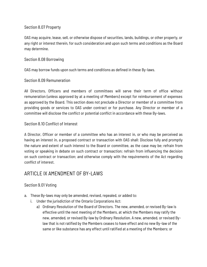# Section 8.07 Property

OAS may acquire, lease, sell, or otherwise dispose of securities, lands, buildings, or other property, or any right or interest therein, for such consideration and upon such terms and conditions as the Board may determine.

## Section 8.08 Borrowing

OAS may borrow funds upon such terms and conditions as defined in these By-laws.

# Section 8.09 Remuneration

All Directors, Officers and members of committees will serve their term of office without remuneration (unless approved by at a meeting of Members) except for reimbursement of expenses as approved by the Board. This section does not preclude a Director or member of a committee from providing goods or services to OAS under contract or for purchase. Any Director or member of a committee will disclose the conflict or potential conflict in accordance with these By-laws.

# Section 8.10 Conflict of Interest

A Director, Officer or member of a committee who has an interest in, or who may be perceived as having an interest in, a proposed contract or transaction with OAS shall: Disclose fully and promptly the nature and extent of such interest to the Board or committee, as the case may be; refrain from voting or speaking in debate on such contract or transaction; refrain from influencing the decision on such contract or transaction; and otherwise comply with the requirements of the Act regarding conflict of interest.

# ARTICLE IX AMENDMENT OF BY-LAWS

# Section 9.01 Voting

- a. These By-laws may only be amended, revised, repealed, or added to:
	- i. Under the jurisdiction of the Ontario Corporations Act:
		- a) Ordinary Resolution of the Board of Directors. The new, amended, or revised By-law is effective until the next meeting of the Members, at which the Members may ratify the new, amended, or revised By-law by Ordinary Resolution. A new, amended, or revised Bylaw that is not ratified by the Members ceases to have effect and no new By-law of the same or like substance has any effect until ratified at a meeting of the Members; or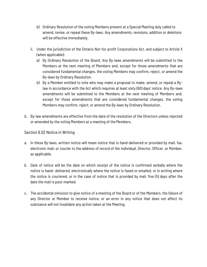- b) Ordinary Resolution of the voting Members present at a Special Meeting duly called to amend, revise, or repeal these By-laws. Any amendments, revisions, addition or deletions will be effective immediately.
- ii. Under the jurisdiction of the Ontario Not-for-profit Corporations Act, and subject to Article X (when applicable):
	- a) By Ordinary Resolution of the Board. Any By-laws amendments will be submitted to the Members at the next meeting of Members and, except for those amendments that are considered fundamental changes, the voting Members may confirm, reject, or amend the By-laws by Ordinary Resolution.
	- b) By a Member entitled to vote who may make a proposal to make, amend, or repeal a Bylaw in accordance with the Act which requires at least sixty (60) days' notice. Any By-laws amendments will be submitted to the Members at the next meeting of Members and, except for those amendments that are considered fundamental changes, the voting Members may confirm, reject, or amend the By-laws by Ordinary Resolution.
- b. By-law amendments are effective from the date of the resolution of the Directors unless rejected or amended by the voting Members at a meeting of the Members.

## Section 9.02 Notice in Writing

- a. In these By-laws, written notice will mean notice that is hand-delivered or provided by mail, fax, electronic mail, or courier to the address of record of the individual, Director, Officer, or Member, as applicable.
- b. Date of notice will be the date on which receipt of the notice is confirmed verbally where the notice is hand- delivered, electronically where the notice is faxed or emailed, or in writing where the notice is couriered, or in the case of notice that is provided by mail, five (5) days after the date the mail is post-marked.
- c. The accidental omission to give notice of a meeting of the Board or of the Members, the failure of any Director or Member to receive notice, or an error in any notice that does not affect its substance will not invalidate any action taken at the Meeting.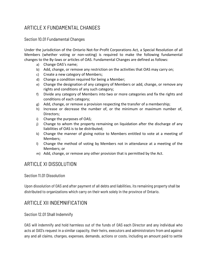# ARTICLE X FUNDAMENTAL CHANGES

Section 10.01 Fundamental Changes

Under the jurisdiction of the Ontario Not-for-Profit Corporations Act*,* a Special Resolution of all Members (whether voting or non-voting) is required to make the following fundamental changes to the By-laws or articles of OAS. Fundamental Changes are defined as follows:

- a) Change OAS's name;
- b) Add, change, or remove any restriction on the activities that OAS may carry on;
- c) Create a new category of Members;
- d) Change a condition required for being a Member;
- e) Change the designation of any category of Members or add, change, or remove any rights and conditions of any such category;
- f) Divide any category of Members into two or more categories and fix the rights and conditions of each category;
- g) Add, change, or remove a provision respecting the transfer of a membership;
- h) Increase or decrease the number of, or the minimum or maximum number of, Directors;
- i) Change the purposes of OAS;
- j) Change to whom the property remaining on liquidation after the discharge of any liabilities of OAS is to be distributed;
- k) Change the manner of giving notice to Members entitled to vote at a meeting of Members;
- l) Change the method of voting by Members not in attendance at a meeting of the Members; or
- m) Add, change, or remove any other provision that is permitted by the Act.

# ARTICLE XI DISSOLUTION

## Section 11.01 Dissolution

Upon dissolution of OAS and after payment of all debts and liabilities, its remaining property shall be distributed to organizations which carry on their work solely in the province of Ontario.

# ARTICLE XII INDEMNIFICATION

## Section 12.01 Shall Indemnify

OAS will indemnify and hold harmless out of the funds of OAS each Director and any individual who acts at OAS's request in a similar capacity, their heirs, executors and administrators from and against any and all claims, charges, expenses, demands, actions or costs, including an amount paid to settle